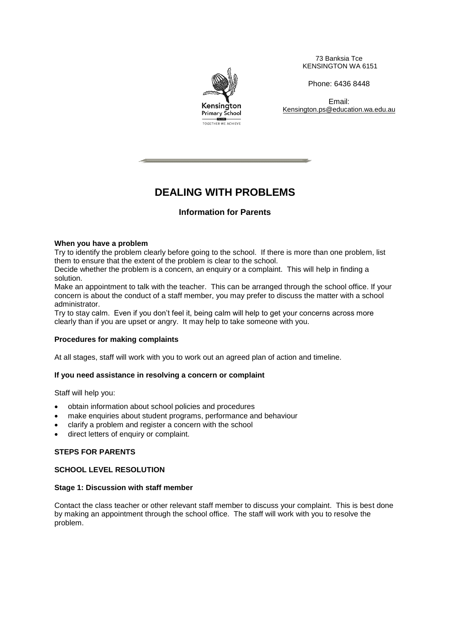Kensington **Primary School** TOGETHER WE ACHIEVE

73 Banksia Tce KENSINGTON WA 6151

Phone: 6436 8448

Email: Kensington.ps@education.wa.edu.au

# **DEALING WITH PROBLEMS**

## **Information for Parents**

### **When you have a problem**

Try to identify the problem clearly before going to the school. If there is more than one problem, list them to ensure that the extent of the problem is clear to the school.

Decide whether the problem is a concern, an enquiry or a complaint. This will help in finding a solution.

Make an appointment to talk with the teacher. This can be arranged through the school office. If your concern is about the conduct of a staff member, you may prefer to discuss the matter with a school administrator.

Try to stay calm. Even if you don't feel it, being calm will help to get your concerns across more clearly than if you are upset or angry. It may help to take someone with you.

## **Procedures for making complaints**

At all stages, staff will work with you to work out an agreed plan of action and timeline.

#### **If you need assistance in resolving a concern or complaint**

Staff will help you:

- obtain information about school policies and procedures
- make enquiries about student programs, performance and behaviour
- clarify a problem and register a concern with the school
- direct letters of enquiry or complaint.

## **STEPS FOR PARENTS**

## **SCHOOL LEVEL RESOLUTION**

#### **Stage 1: Discussion with staff member**

Contact the class teacher or other relevant staff member to discuss your complaint. This is best done by making an appointment through the school office. The staff will work with you to resolve the problem.